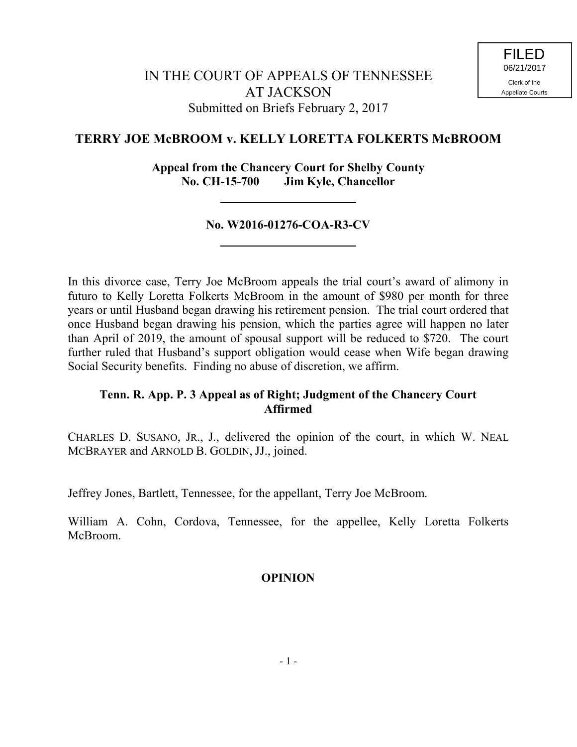# **TERRY JOE McBROOM v. KELLY LORETTA FOLKERTS McBROOM**

**Appeal from the Chancery Court for Shelby County No. CH-15-700 Jim Kyle, Chancellor**

### **No. W2016-01276-COA-R3-CV**

In this divorce case, Terry Joe McBroom appeals the trial court's award of alimony in futuro to Kelly Loretta Folkerts McBroom in the amount of \$980 per month for three years or until Husband began drawing his retirement pension. The trial court ordered that once Husband began drawing his pension, which the parties agree will happen no later than April of 2019, the amount of spousal support will be reduced to \$720. The court further ruled that Husband's support obligation would cease when Wife began drawing Social Security benefits. Finding no abuse of discretion, we affirm.

## **Tenn. R. App. P. 3 Appeal as of Right; Judgment of the Chancery Court Affirmed**

CHARLES D. SUSANO, JR., J., delivered the opinion of the court, in which W. NEAL MCBRAYER and ARNOLD B. GOLDIN, JJ., joined.

Jeffrey Jones, Bartlett, Tennessee, for the appellant, Terry Joe McBroom.

William A. Cohn, Cordova, Tennessee, for the appellee, Kelly Loretta Folkerts McBroom.

## **OPINION**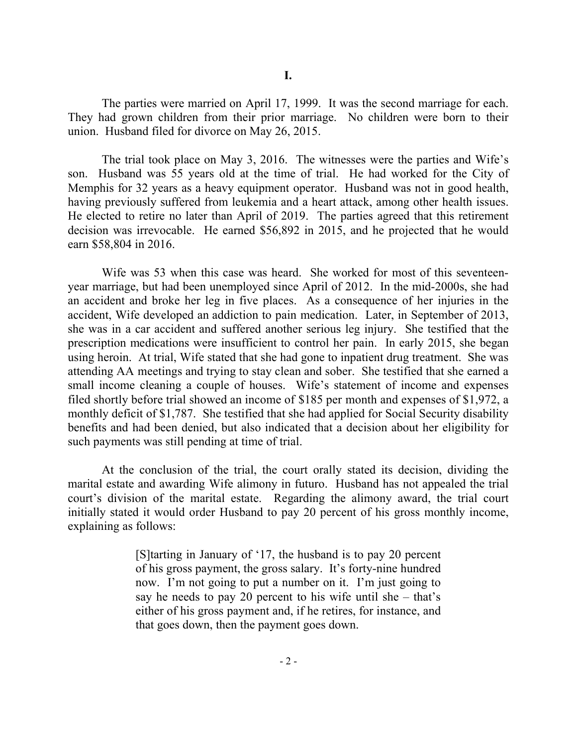The parties were married on April 17, 1999. It was the second marriage for each. They had grown children from their prior marriage. No children were born to their union. Husband filed for divorce on May 26, 2015.

The trial took place on May 3, 2016. The witnesses were the parties and Wife's son. Husband was 55 years old at the time of trial. He had worked for the City of Memphis for 32 years as a heavy equipment operator. Husband was not in good health, having previously suffered from leukemia and a heart attack, among other health issues. He elected to retire no later than April of 2019. The parties agreed that this retirement decision was irrevocable. He earned \$56,892 in 2015, and he projected that he would earn \$58,804 in 2016.

Wife was 53 when this case was heard. She worked for most of this seventeenyear marriage, but had been unemployed since April of 2012. In the mid-2000s, she had an accident and broke her leg in five places. As a consequence of her injuries in the accident, Wife developed an addiction to pain medication. Later, in September of 2013, she was in a car accident and suffered another serious leg injury. She testified that the prescription medications were insufficient to control her pain. In early 2015, she began using heroin. At trial, Wife stated that she had gone to inpatient drug treatment. She was attending AA meetings and trying to stay clean and sober. She testified that she earned a small income cleaning a couple of houses. Wife's statement of income and expenses filed shortly before trial showed an income of \$185 per month and expenses of \$1,972, a monthly deficit of \$1,787. She testified that she had applied for Social Security disability benefits and had been denied, but also indicated that a decision about her eligibility for such payments was still pending at time of trial.

At the conclusion of the trial, the court orally stated its decision, dividing the marital estate and awarding Wife alimony in futuro. Husband has not appealed the trial court's division of the marital estate. Regarding the alimony award, the trial court initially stated it would order Husband to pay 20 percent of his gross monthly income, explaining as follows:

> [S]tarting in January of '17, the husband is to pay 20 percent of his gross payment, the gross salary. It's forty-nine hundred now. I'm not going to put a number on it. I'm just going to say he needs to pay 20 percent to his wife until she  $-$  that's either of his gross payment and, if he retires, for instance, and that goes down, then the payment goes down.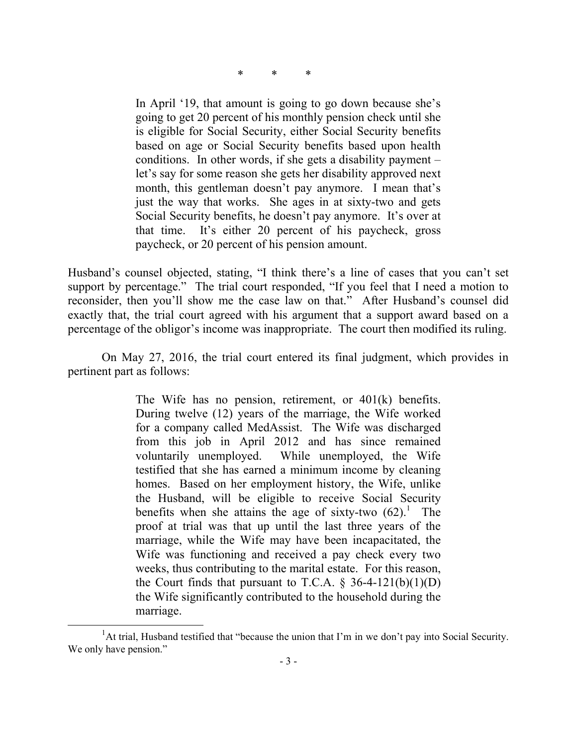\* \* \*

In April '19, that amount is going to go down because she's going to get 20 percent of his monthly pension check until she is eligible for Social Security, either Social Security benefits based on age or Social Security benefits based upon health conditions. In other words, if she gets a disability payment  $$ let's say for some reason she gets her disability approved next month, this gentleman doesn't pay anymore. I mean that's just the way that works. She ages in at sixty-two and gets Social Security benefits, he doesn't pay anymore. It's over at that time. It's either 20 percent of his paycheck, gross paycheck, or 20 percent of his pension amount.

Husband's counsel objected, stating, "I think there's a line of cases that you can't set support by percentage." The trial court responded, "If you feel that I need a motion to reconsider, then you'll show me the case law on that." After Husband's counsel did exactly that, the trial court agreed with his argument that a support award based on a percentage of the obligor's income was inappropriate. The court then modified its ruling.

On May 27, 2016, the trial court entered its final judgment, which provides in pertinent part as follows:

> The Wife has no pension, retirement, or 401(k) benefits. During twelve (12) years of the marriage, the Wife worked for a company called MedAssist. The Wife was discharged from this job in April 2012 and has since remained voluntarily unemployed. While unemployed, the Wife testified that she has earned a minimum income by cleaning homes. Based on her employment history, the Wife, unlike the Husband, will be eligible to receive Social Security benefits when she attains the age of sixty-two  $(62)^{1}$ . The proof at trial was that up until the last three years of the marriage, while the Wife may have been incapacitated, the Wife was functioning and received a pay check every two weeks, thus contributing to the marital estate. For this reason, the Court finds that pursuant to T.C.A.  $\S$  36-4-121(b)(1)(D) the Wife significantly contributed to the household during the marriage.

l

<sup>&</sup>lt;sup>1</sup>At trial, Husband testified that "because the union that I'm in we don't pay into Social Security. We only have pension."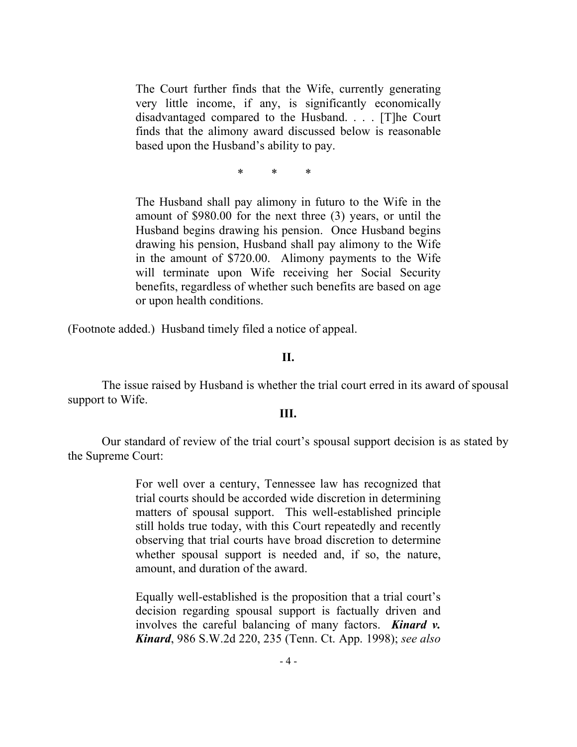The Court further finds that the Wife, currently generating very little income, if any, is significantly economically disadvantaged compared to the Husband. . . . [T]he Court finds that the alimony award discussed below is reasonable based upon the Husband's ability to pay.

\* \* \*

The Husband shall pay alimony in futuro to the Wife in the amount of \$980.00 for the next three (3) years, or until the Husband begins drawing his pension. Once Husband begins drawing his pension, Husband shall pay alimony to the Wife in the amount of \$720.00. Alimony payments to the Wife will terminate upon Wife receiving her Social Security benefits, regardless of whether such benefits are based on age or upon health conditions.

(Footnote added.) Husband timely filed a notice of appeal.

#### **II.**

The issue raised by Husband is whether the trial court erred in its award of spousal support to Wife.

#### **III.**

Our standard of review of the trial court's spousal support decision is as stated by the Supreme Court:

> For well over a century, Tennessee law has recognized that trial courts should be accorded wide discretion in determining matters of spousal support. This well-established principle still holds true today, with this Court repeatedly and recently observing that trial courts have broad discretion to determine whether spousal support is needed and, if so, the nature, amount, and duration of the award.

> Equally well-established is the proposition that a trial court's decision regarding spousal support is factually driven and involves the careful balancing of many factors. *Kinard v. Kinard*, 986 S.W.2d 220, 235 (Tenn. Ct. App. 1998); *see also*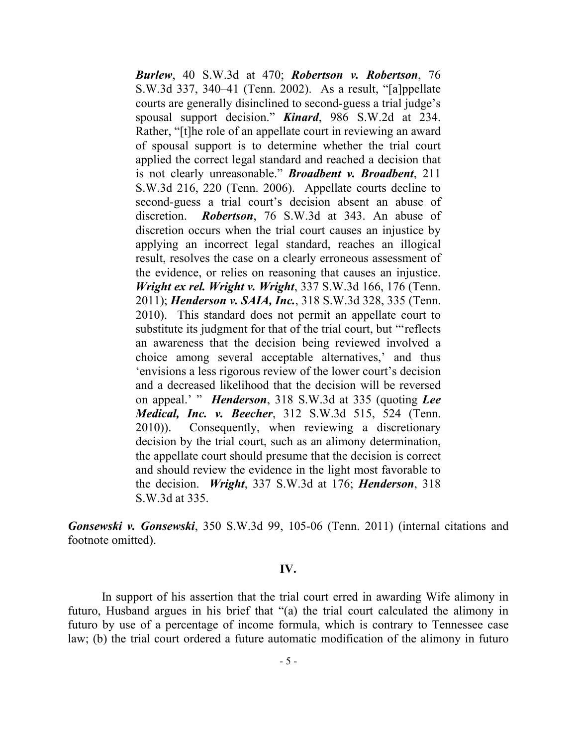*Burlew*, 40 S.W.3d at 470; *Robertson v. Robertson*, 76 S.W.3d 337, 340–41 (Tenn. 2002). As a result, "[a]ppellate courts are generally disinclined to second-guess a trial judge's spousal support decision." *Kinard*, 986 S.W.2d at 234. Rather, "[t]he role of an appellate court in reviewing an award of spousal support is to determine whether the trial court applied the correct legal standard and reached a decision that is not clearly unreasonable." *Broadbent v. Broadbent*, 211 S.W.3d 216, 220 (Tenn. 2006). Appellate courts decline to second-guess a trial court's decision absent an abuse of discretion. *Robertson*, 76 S.W.3d at 343. An abuse of discretion occurs when the trial court causes an injustice by applying an incorrect legal standard, reaches an illogical result, resolves the case on a clearly erroneous assessment of the evidence, or relies on reasoning that causes an injustice. *Wright ex rel. Wright v. Wright*, 337 S.W.3d 166, 176 (Tenn. 2011); *Henderson v. SAIA, Inc.*, 318 S.W.3d 328, 335 (Tenn. 2010). This standard does not permit an appellate court to substitute its judgment for that of the trial court, but "'reflects an awareness that the decision being reviewed involved a choice among several acceptable alternatives,' and thus 'envisions a less rigorous review of the lower court's decision and a decreased likelihood that the decision will be reversed on appeal.' " *Henderson*, 318 S.W.3d at 335 (quoting *Lee Medical, Inc. v. Beecher*, 312 S.W.3d 515, 524 (Tenn. 2010)). Consequently, when reviewing a discretionary decision by the trial court, such as an alimony determination, the appellate court should presume that the decision is correct and should review the evidence in the light most favorable to the decision. *Wright*, 337 S.W.3d at 176; *Henderson*, 318 S.W.3d at 335.

*Gonsewski v. Gonsewski*, 350 S.W.3d 99, 105-06 (Tenn. 2011) (internal citations and footnote omitted).

#### **IV.**

In support of his assertion that the trial court erred in awarding Wife alimony in futuro, Husband argues in his brief that "(a) the trial court calculated the alimony in futuro by use of a percentage of income formula, which is contrary to Tennessee case law; (b) the trial court ordered a future automatic modification of the alimony in futuro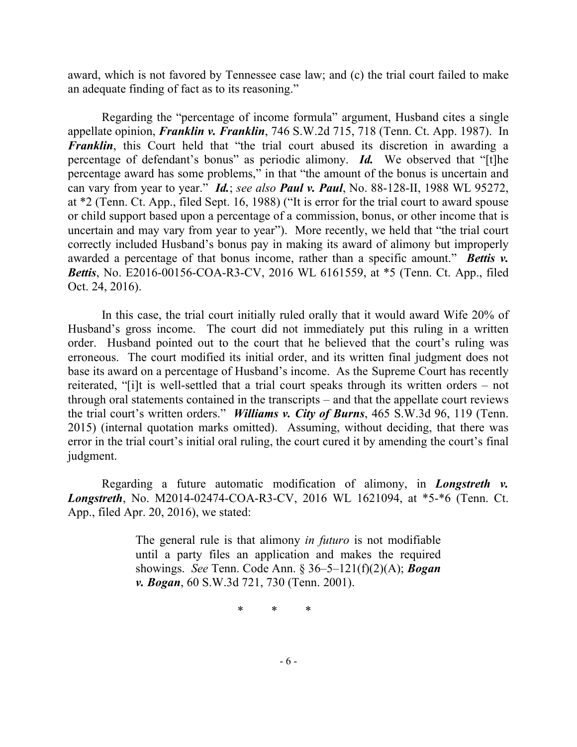award, which is not favored by Tennessee case law; and (c) the trial court failed to make an adequate finding of fact as to its reasoning."

Regarding the "percentage of income formula" argument, Husband cites a single appellate opinion, *Franklin v. Franklin*, 746 S.W.2d 715, 718 (Tenn. Ct. App. 1987). In *Franklin*, this Court held that "the trial court abused its discretion in awarding a percentage of defendant's bonus" as periodic alimony. *Id.* We observed that "[t]he percentage award has some problems," in that "the amount of the bonus is uncertain and can vary from year to year." *Id.*; *see also Paul v. Paul*, No. 88-128-II, 1988 WL 95272, at \*2 (Tenn. Ct. App., filed Sept. 16, 1988) ("It is error for the trial court to award spouse or child support based upon a percentage of a commission, bonus, or other income that is uncertain and may vary from year to year"). More recently, we held that "the trial court correctly included Husband's bonus pay in making its award of alimony but improperly awarded a percentage of that bonus income, rather than a specific amount." *Bettis v. Bettis*, No. E2016-00156-COA-R3-CV, 2016 WL 6161559, at \*5 (Tenn. Ct. App., filed Oct. 24, 2016).

In this case, the trial court initially ruled orally that it would award Wife 20% of Husband's gross income. The court did not immediately put this ruling in a written order. Husband pointed out to the court that he believed that the court's ruling was erroneous. The court modified its initial order, and its written final judgment does not base its award on a percentage of Husband's income. As the Supreme Court has recently reiterated, "[i]t is well-settled that a trial court speaks through its written orders – not through oral statements contained in the transcripts – and that the appellate court reviews the trial court's written orders." *Williams v. City of Burns*, 465 S.W.3d 96, 119 (Tenn. 2015) (internal quotation marks omitted). Assuming, without deciding, that there was error in the trial court's initial oral ruling, the court cured it by amending the court's final judgment.

Regarding a future automatic modification of alimony, in *Longstreth v. Longstreth*, No. M2014-02474-COA-R3-CV, 2016 WL 1621094, at \*5-\*6 (Tenn. Ct. App., filed Apr. 20, 2016), we stated:

> The general rule is that alimony *in futuro* is not modifiable until a party files an application and makes the required showings. *See* Tenn. Code Ann. § 36–5–121(f)(2)(A); *Bogan v. Bogan*, 60 S.W.3d 721, 730 (Tenn. 2001).

> > \* \* \*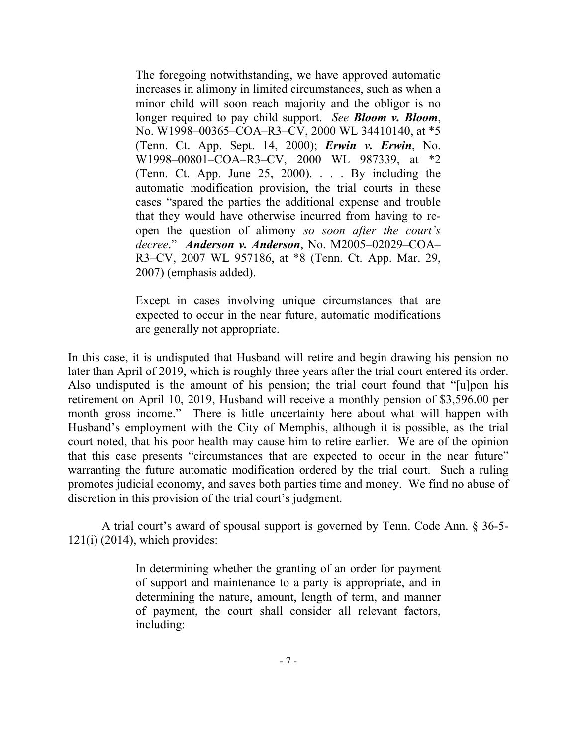The foregoing notwithstanding, we have approved automatic increases in alimony in limited circumstances, such as when a minor child will soon reach majority and the obligor is no longer required to pay child support. *See Bloom v. Bloom*, No. W1998–00365–COA–R3–CV, 2000 WL 34410140, at \*5 (Tenn. Ct. App. Sept. 14, 2000); *Erwin v. Erwin*, No. W1998–00801–COA–R3–CV, 2000 WL 987339, at \*2 (Tenn. Ct. App. June 25, 2000). . . . By including the automatic modification provision, the trial courts in these cases "spared the parties the additional expense and trouble that they would have otherwise incurred from having to reopen the question of alimony *so soon after the court's decree*." *Anderson v. Anderson*, No. M2005–02029–COA– R3–CV, 2007 WL 957186, at \*8 (Tenn. Ct. App. Mar. 29, 2007) (emphasis added).

Except in cases involving unique circumstances that are expected to occur in the near future, automatic modifications are generally not appropriate.

In this case, it is undisputed that Husband will retire and begin drawing his pension no later than April of 2019, which is roughly three years after the trial court entered its order. Also undisputed is the amount of his pension; the trial court found that "[u]pon his retirement on April 10, 2019, Husband will receive a monthly pension of \$3,596.00 per month gross income." There is little uncertainty here about what will happen with Husband's employment with the City of Memphis, although it is possible, as the trial court noted, that his poor health may cause him to retire earlier. We are of the opinion that this case presents "circumstances that are expected to occur in the near future" warranting the future automatic modification ordered by the trial court. Such a ruling promotes judicial economy, and saves both parties time and money. We find no abuse of discretion in this provision of the trial court's judgment.

A trial court's award of spousal support is governed by Tenn. Code Ann. § 36-5-  $121(i)$  (2014), which provides:

> In determining whether the granting of an order for payment of support and maintenance to a party is appropriate, and in determining the nature, amount, length of term, and manner of payment, the court shall consider all relevant factors, including: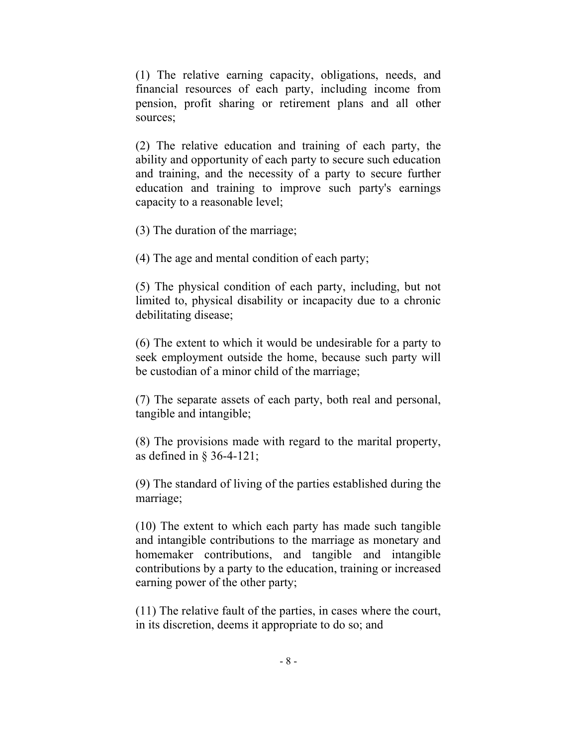(1) The relative earning capacity, obligations, needs, and financial resources of each party, including income from pension, profit sharing or retirement plans and all other sources;

(2) The relative education and training of each party, the ability and opportunity of each party to secure such education and training, and the necessity of a party to secure further education and training to improve such party's earnings capacity to a reasonable level;

(3) The duration of the marriage;

(4) The age and mental condition of each party;

(5) The physical condition of each party, including, but not limited to, physical disability or incapacity due to a chronic debilitating disease;

(6) The extent to which it would be undesirable for a party to seek employment outside the home, because such party will be custodian of a minor child of the marriage;

(7) The separate assets of each party, both real and personal, tangible and intangible;

(8) The provisions made with regard to the marital property, as defined in § 36-4-121;

(9) The standard of living of the parties established during the marriage;

(10) The extent to which each party has made such tangible and intangible contributions to the marriage as monetary and homemaker contributions, and tangible and intangible contributions by a party to the education, training or increased earning power of the other party;

(11) The relative fault of the parties, in cases where the court, in its discretion, deems it appropriate to do so; and